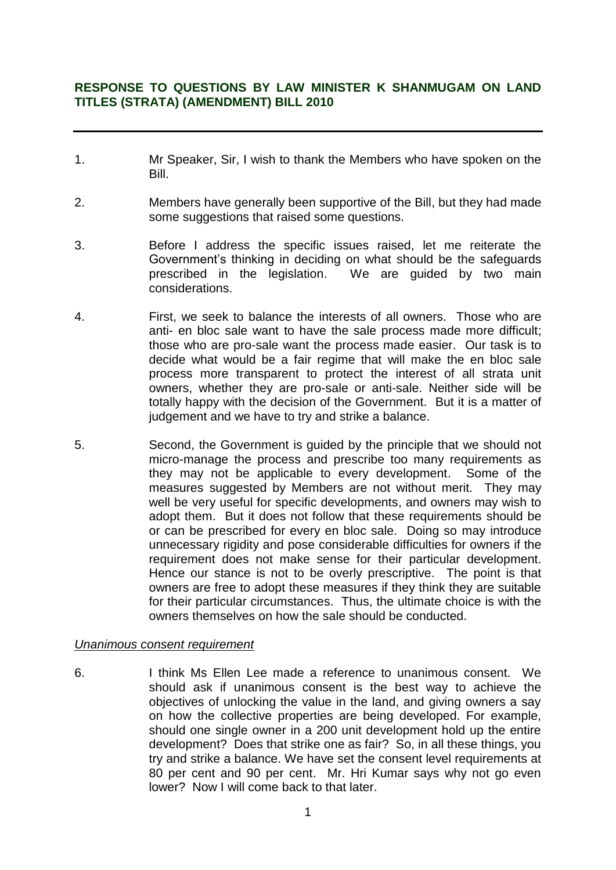# **RESPONSE TO QUESTIONS BY LAW MINISTER K SHANMUGAM ON LAND TITLES (STRATA) (AMENDMENT) BILL 2010**

- 1. Mr Speaker, Sir, I wish to thank the Members who have spoken on the Bill.
- 2. Members have generally been supportive of the Bill, but they had made some suggestions that raised some questions.
- 3. Before I address the specific issues raised, let me reiterate the Government's thinking in deciding on what should be the safeguards prescribed in the legislation. We are guided by two main considerations.
- 4. First, we seek to balance the interests of all owners. Those who are anti- en bloc sale want to have the sale process made more difficult; those who are pro-sale want the process made easier. Our task is to decide what would be a fair regime that will make the en bloc sale process more transparent to protect the interest of all strata unit owners, whether they are pro-sale or anti-sale. Neither side will be totally happy with the decision of the Government. But it is a matter of judgement and we have to try and strike a balance.
- 5. Second, the Government is guided by the principle that we should not micro-manage the process and prescribe too many requirements as they may not be applicable to every development. Some of the measures suggested by Members are not without merit. They may well be very useful for specific developments, and owners may wish to adopt them. But it does not follow that these requirements should be or can be prescribed for every en bloc sale. Doing so may introduce unnecessary rigidity and pose considerable difficulties for owners if the requirement does not make sense for their particular development. Hence our stance is not to be overly prescriptive. The point is that owners are free to adopt these measures if they think they are suitable for their particular circumstances. Thus, the ultimate choice is with the owners themselves on how the sale should be conducted.

#### *Unanimous consent requirement*

6. I think Ms Ellen Lee made a reference to unanimous consent. We should ask if unanimous consent is the best way to achieve the objectives of unlocking the value in the land, and giving owners a say on how the collective properties are being developed. For example, should one single owner in a 200 unit development hold up the entire development? Does that strike one as fair? So, in all these things, you try and strike a balance. We have set the consent level requirements at 80 per cent and 90 per cent. Mr. Hri Kumar says why not go even lower? Now I will come back to that later.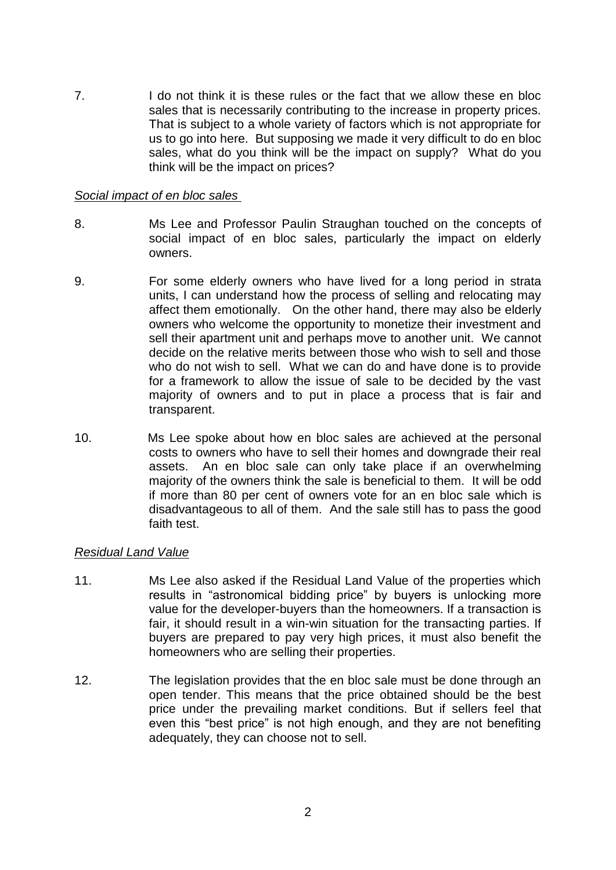7. I do not think it is these rules or the fact that we allow these en bloc sales that is necessarily contributing to the increase in property prices. That is subject to a whole variety of factors which is not appropriate for us to go into here. But supposing we made it very difficult to do en bloc sales, what do you think will be the impact on supply? What do you think will be the impact on prices?

### *Social impact of en bloc sales*

- 8. Ms Lee and Professor Paulin Straughan touched on the concepts of social impact of en bloc sales, particularly the impact on elderly owners.
- 9. For some elderly owners who have lived for a long period in strata units, I can understand how the process of selling and relocating may affect them emotionally. On the other hand, there may also be elderly owners who welcome the opportunity to monetize their investment and sell their apartment unit and perhaps move to another unit. We cannot decide on the relative merits between those who wish to sell and those who do not wish to sell. What we can do and have done is to provide for a framework to allow the issue of sale to be decided by the vast majority of owners and to put in place a process that is fair and transparent.
- 10. Ms Lee spoke about how en bloc sales are achieved at the personal costs to owners who have to sell their homes and downgrade their real assets. An en bloc sale can only take place if an overwhelming majority of the owners think the sale is beneficial to them. It will be odd if more than 80 per cent of owners vote for an en bloc sale which is disadvantageous to all of them. And the sale still has to pass the good faith test.

## *Residual Land Value*

- 11. Ms Lee also asked if the Residual Land Value of the properties which results in "astronomical bidding price" by buyers is unlocking more value for the developer-buyers than the homeowners. If a transaction is fair, it should result in a win-win situation for the transacting parties. If buyers are prepared to pay very high prices, it must also benefit the homeowners who are selling their properties.
- 12. The legislation provides that the en bloc sale must be done through an open tender. This means that the price obtained should be the best price under the prevailing market conditions. But if sellers feel that even this "best price" is not high enough, and they are not benefiting adequately, they can choose not to sell.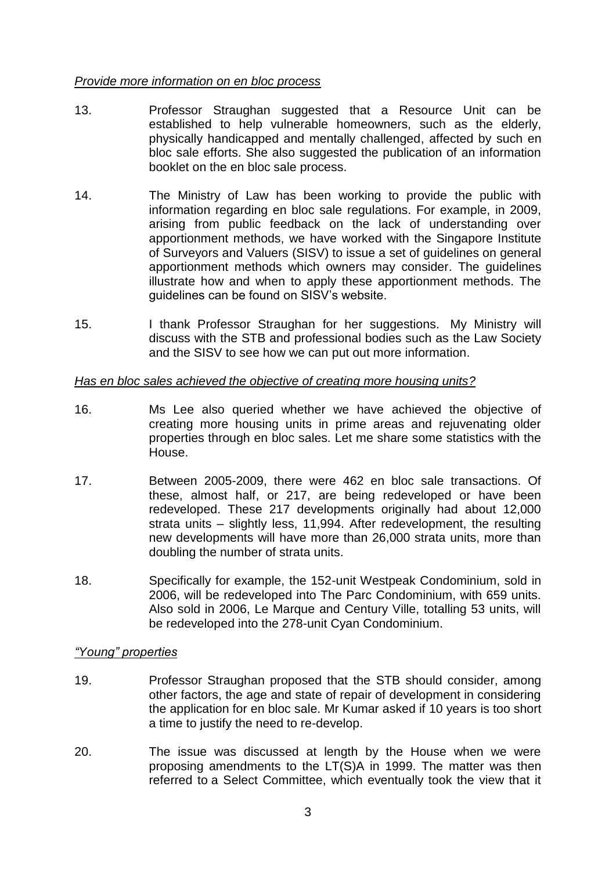### *Provide more information on en bloc process*

- 13. Professor Straughan suggested that a Resource Unit can be established to help vulnerable homeowners, such as the elderly, physically handicapped and mentally challenged, affected by such en bloc sale efforts. She also suggested the publication of an information booklet on the en bloc sale process.
- 14. The Ministry of Law has been working to provide the public with information regarding en bloc sale regulations. For example, in 2009, arising from public feedback on the lack of understanding over apportionment methods, we have worked with the Singapore Institute of Surveyors and Valuers (SISV) to issue a set of guidelines on general apportionment methods which owners may consider. The guidelines illustrate how and when to apply these apportionment methods. The guidelines can be found on SISV's website.
- 15. I thank Professor Straughan for her suggestions. My Ministry will discuss with the STB and professional bodies such as the Law Society and the SISV to see how we can put out more information.

#### *Has en bloc sales achieved the objective of creating more housing units?*

- 16. Ms Lee also queried whether we have achieved the objective of creating more housing units in prime areas and rejuvenating older properties through en bloc sales. Let me share some statistics with the House.
- 17. Between 2005-2009, there were 462 en bloc sale transactions. Of these, almost half, or 217, are being redeveloped or have been redeveloped. These 217 developments originally had about 12,000 strata units – slightly less, 11,994. After redevelopment, the resulting new developments will have more than 26,000 strata units, more than doubling the number of strata units.
- 18. Specifically for example, the 152-unit Westpeak Condominium, sold in 2006, will be redeveloped into The Parc Condominium, with 659 units. Also sold in 2006, Le Marque and Century Ville, totalling 53 units, will be redeveloped into the 278-unit Cyan Condominium.

## *"Young" properties*

- 19. Professor Straughan proposed that the STB should consider, among other factors, the age and state of repair of development in considering the application for en bloc sale. Mr Kumar asked if 10 years is too short a time to justify the need to re-develop.
- 20. The issue was discussed at length by the House when we were proposing amendments to the LT(S)A in 1999. The matter was then referred to a Select Committee, which eventually took the view that it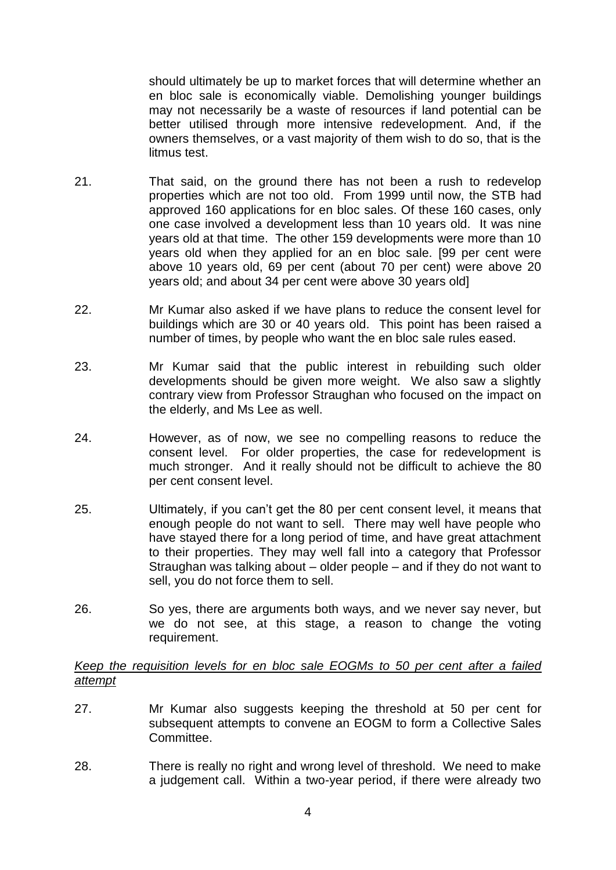should ultimately be up to market forces that will determine whether an en bloc sale is economically viable. Demolishing younger buildings may not necessarily be a waste of resources if land potential can be better utilised through more intensive redevelopment. And, if the owners themselves, or a vast majority of them wish to do so, that is the litmus test.

- 21. That said, on the ground there has not been a rush to redevelop properties which are not too old. From 1999 until now, the STB had approved 160 applications for en bloc sales. Of these 160 cases, only one case involved a development less than 10 years old. It was nine years old at that time. The other 159 developments were more than 10 years old when they applied for an en bloc sale. [99 per cent were above 10 years old, 69 per cent (about 70 per cent) were above 20 years old; and about 34 per cent were above 30 years old]
- 22. Mr Kumar also asked if we have plans to reduce the consent level for buildings which are 30 or 40 years old. This point has been raised a number of times, by people who want the en bloc sale rules eased.
- 23. Mr Kumar said that the public interest in rebuilding such older developments should be given more weight. We also saw a slightly contrary view from Professor Straughan who focused on the impact on the elderly, and Ms Lee as well.
- 24. However, as of now, we see no compelling reasons to reduce the consent level. For older properties, the case for redevelopment is much stronger. And it really should not be difficult to achieve the 80 per cent consent level.
- 25. Ultimately, if you can't get the 80 per cent consent level, it means that enough people do not want to sell. There may well have people who have stayed there for a long period of time, and have great attachment to their properties. They may well fall into a category that Professor Straughan was talking about – older people – and if they do not want to sell, you do not force them to sell.
- 26. So yes, there are arguments both ways, and we never say never, but we do not see, at this stage, a reason to change the voting requirement.

## *Keep the requisition levels for en bloc sale EOGMs to 50 per cent after a failed attempt*

- 27. Mr Kumar also suggests keeping the threshold at 50 per cent for subsequent attempts to convene an EOGM to form a Collective Sales Committee.
- 28. There is really no right and wrong level of threshold. We need to make a judgement call. Within a two-year period, if there were already two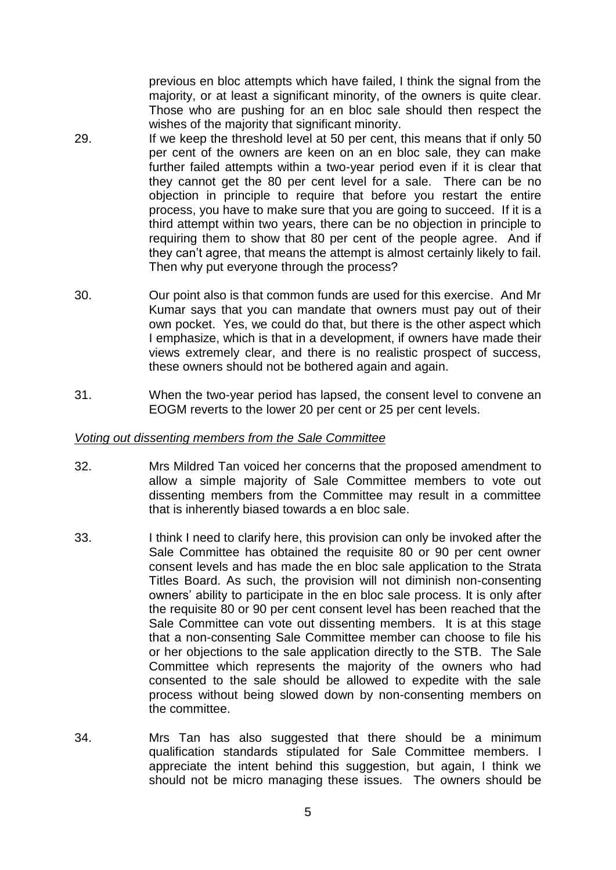previous en bloc attempts which have failed, I think the signal from the majority, or at least a significant minority, of the owners is quite clear. Those who are pushing for an en bloc sale should then respect the wishes of the majority that significant minority.

- 29. If we keep the threshold level at 50 per cent, this means that if only 50 per cent of the owners are keen on an en bloc sale, they can make further failed attempts within a two-year period even if it is clear that they cannot get the 80 per cent level for a sale. There can be no objection in principle to require that before you restart the entire process, you have to make sure that you are going to succeed. If it is a third attempt within two years, there can be no objection in principle to requiring them to show that 80 per cent of the people agree. And if they can't agree, that means the attempt is almost certainly likely to fail. Then why put everyone through the process?
- 30. Our point also is that common funds are used for this exercise. And Mr Kumar says that you can mandate that owners must pay out of their own pocket. Yes, we could do that, but there is the other aspect which I emphasize, which is that in a development, if owners have made their views extremely clear, and there is no realistic prospect of success, these owners should not be bothered again and again.
- 31. When the two-year period has lapsed, the consent level to convene an EOGM reverts to the lower 20 per cent or 25 per cent levels.

#### *Voting out dissenting members from the Sale Committee*

- 32. Mrs Mildred Tan voiced her concerns that the proposed amendment to allow a simple majority of Sale Committee members to vote out dissenting members from the Committee may result in a committee that is inherently biased towards a en bloc sale.
- 33. I think I need to clarify here, this provision can only be invoked after the Sale Committee has obtained the requisite 80 or 90 per cent owner consent levels and has made the en bloc sale application to the Strata Titles Board. As such, the provision will not diminish non-consenting owners' ability to participate in the en bloc sale process. It is only after the requisite 80 or 90 per cent consent level has been reached that the Sale Committee can vote out dissenting members. It is at this stage that a non-consenting Sale Committee member can choose to file his or her objections to the sale application directly to the STB. The Sale Committee which represents the majority of the owners who had consented to the sale should be allowed to expedite with the sale process without being slowed down by non-consenting members on the committee.
- 34. Mrs Tan has also suggested that there should be a minimum qualification standards stipulated for Sale Committee members. I appreciate the intent behind this suggestion, but again, I think we should not be micro managing these issues. The owners should be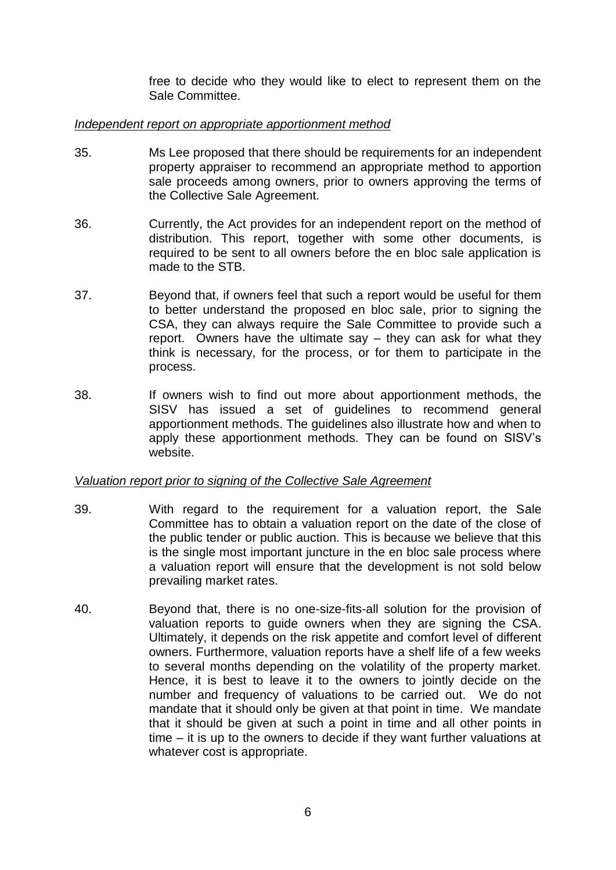free to decide who they would like to elect to represent them on the Sale Committee.

### *Independent report on appropriate apportionment method*

- 35. Ms Lee proposed that there should be requirements for an independent property appraiser to recommend an appropriate method to apportion sale proceeds among owners, prior to owners approving the terms of the Collective Sale Agreement.
- 36. Currently, the Act provides for an independent report on the method of distribution. This report, together with some other documents, is required to be sent to all owners before the en bloc sale application is made to the STB.
- 37. Beyond that, if owners feel that such a report would be useful for them to better understand the proposed en bloc sale, prior to signing the CSA, they can always require the Sale Committee to provide such a report. Owners have the ultimate say – they can ask for what they think is necessary, for the process, or for them to participate in the process.
- 38. If owners wish to find out more about apportionment methods, the SISV has issued a set of guidelines to recommend general apportionment methods. The guidelines also illustrate how and when to apply these apportionment methods. They can be found on SISV's website.

#### *Valuation report prior to signing of the Collective Sale Agreement*

- 39. With regard to the requirement for a valuation report, the Sale Committee has to obtain a valuation report on the date of the close of the public tender or public auction. This is because we believe that this is the single most important juncture in the en bloc sale process where a valuation report will ensure that the development is not sold below prevailing market rates.
- 40. Beyond that, there is no one-size-fits-all solution for the provision of valuation reports to guide owners when they are signing the CSA. Ultimately, it depends on the risk appetite and comfort level of different owners. Furthermore, valuation reports have a shelf life of a few weeks to several months depending on the volatility of the property market. Hence, it is best to leave it to the owners to jointly decide on the number and frequency of valuations to be carried out. We do not mandate that it should only be given at that point in time. We mandate that it should be given at such a point in time and all other points in time – it is up to the owners to decide if they want further valuations at whatever cost is appropriate.